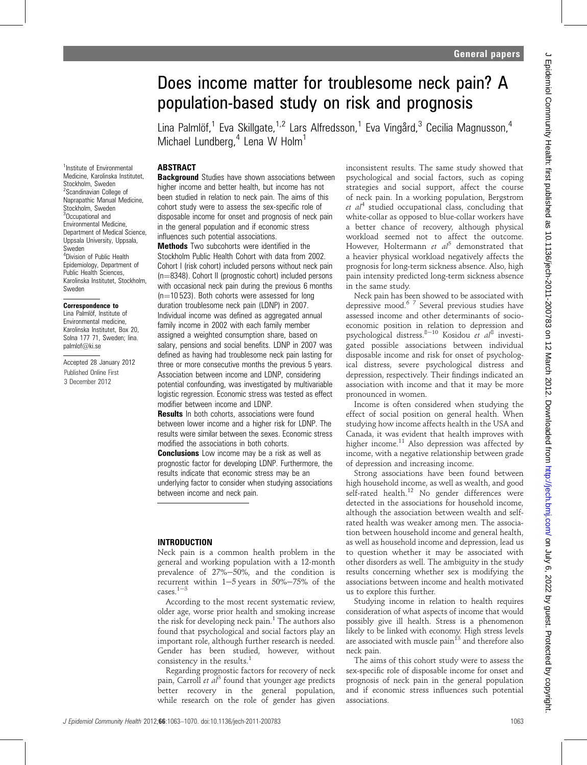# Does income matter for troublesome neck pain? A population-based study on risk and prognosis

Lina Palmlöf,<sup>1</sup> Eva Skillgate,<sup>1,2</sup> Lars Alfredsson,<sup>1</sup> Eva Vingård,<sup>3</sup> Cecilia Magnusson,<sup>4</sup> Michael Lundberg, $4$  Lena W Holm<sup>1</sup>

# **ABSTRACT**

1 Institute of Environmental Medicine, Karolinska Institutet, Stockholm, Sweden <sup>2</sup>Scandinavian College of Naprapathic Manual Medicine, Stockholm, Sweden <sup>3</sup>Occupational and Environmental Medicine, Department of Medical Science, Uppsala University, Uppsala, Sweden 4 Division of Public Health Epidemiology, Department of Public Health Sciences, Karolinska Institutet, Stockholm, Sweden

## Correspondence to

Lina Palmlöf, Institute of Environmental medicine, Karolinska Institutet, Box 20, Solna 177 71, Sweden; lina. palmlof@ki.se

Accepted 28 January 2012 Published Online First 3 December 2012

**Background** Studies have shown associations between higher income and better health, but income has not been studied in relation to neck pain. The aims of this cohort study were to assess the sex-specific role of disposable income for onset and prognosis of neck pain in the general population and if economic stress influences such potential associations.

**Methods** Two subcohorts were identified in the Stockholm Public Health Cohort with data from 2002. Cohort I (risk cohort) included persons without neck pain (n=8348). Cohort II (prognostic cohort) included persons with occasional neck pain during the previous 6 months  $(n=10 523)$ . Both cohorts were assessed for long duration troublesome neck pain (LDNP) in 2007. Individual income was defined as aggregated annual family income in 2002 with each family member assigned a weighted consumption share, based on salary, pensions and social benefits. LDNP in 2007 was defined as having had troublesome neck pain lasting for three or more consecutive months the previous 5 years. Association between income and LDNP, considering potential confounding, was investigated by multivariable logistic regression. Economic stress was tested as effect modifier between income and LDNP.

**Results** In both cohorts, associations were found between lower income and a higher risk for LDNP. The results were similar between the sexes. Economic stress modified the associations in both cohorts.

**Conclusions** Low income may be a risk as well as prognostic factor for developing LDNP. Furthermore, the results indicate that economic stress may be an underlying factor to consider when studying associations between income and neck pain.

# INTRODUCTION

Neck pain is a common health problem in the general and working population with a 12-month prevalence of  $27\% - 50\%$ , and the condition is recurrent within  $1-5$  years in  $50\% - 75\%$  of the  $cases.1-3$ 

According to the most recent systematic review, older age, worse prior health and smoking increase the risk for developing neck pain.<sup>1</sup> The authors also found that psychological and social factors play an important role, although further research is needed. Gender has been studied, however, without consistency in the results.<sup>1</sup>

Regarding prognostic factors for recovery of neck pain, Carroll et  $al^3$  found that younger age predicts better recovery in the general population, while research on the role of gender has given inconsistent results. The same study showed that psychological and social factors, such as coping strategies and social support, affect the course of neck pain. In a working population, Bergstrom et  $aI<sup>4</sup>$  studied occupational class, concluding that white-collar as opposed to blue-collar workers have a better chance of recovery, although physical workload seemed not to affect the outcome. However, Holtermann et  $a^{5}$  demonstrated that a heavier physical workload negatively affects the prognosis for long-term sickness absence. Also, high pain intensity predicted long-term sickness absence in the same study.

Neck pain has been showed to be associated with depressive mood.<sup>6</sup> <sup>7</sup> Several previous studies have assessed income and other determinants of socioeconomic position in relation to depression and psychological distress.<sup>8-10</sup> Kosidou et al<sup>8</sup> investigated possible associations between individual disposable income and risk for onset of psychological distress, severe psychological distress and depression, respectively. Their findings indicated an association with income and that it may be more pronounced in women.

Income is often considered when studying the effect of social position on general health. When studying how income affects health in the USA and Canada, it was evident that health improves with higher income.<sup>11</sup> Also depression was affected by income, with a negative relationship between grade of depression and increasing income.

Strong associations have been found between high household income, as well as wealth, and good self-rated health.<sup>12</sup> No gender differences were detected in the associations for household income, although the association between wealth and selfrated health was weaker among men. The association between household income and general health, as well as household income and depression, lead us to question whether it may be associated with other disorders as well. The ambiguity in the study results concerning whether sex is modifying the associations between income and health motivated us to explore this further.

Studying income in relation to health requires consideration of what aspects of income that would possibly give ill health. Stress is a phenomenon likely to be linked with economy. High stress levels are associated with muscle pain<sup>13</sup> and therefore also neck pain.

The aims of this cohort study were to assess the sex-specific role of disposable income for onset and prognosis of neck pain in the general population and if economic stress influences such potential associations.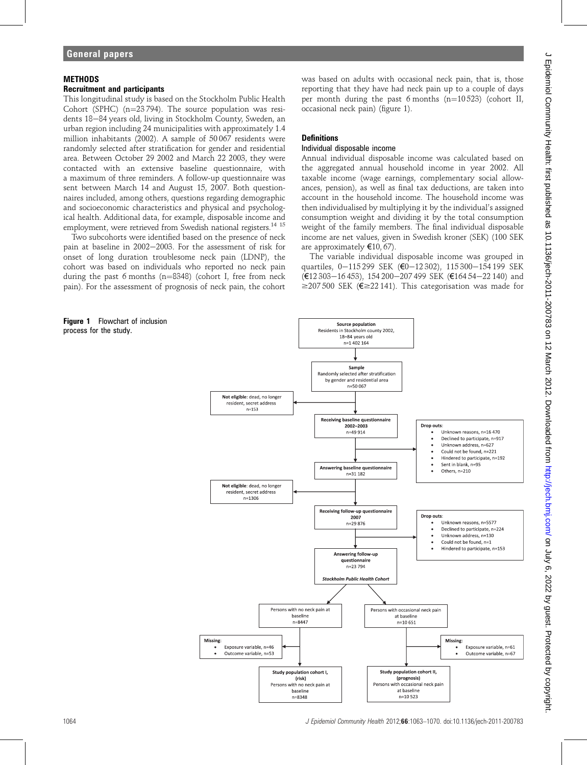## **METHODS**

#### Recruitment and participants

This longitudinal study is based on the Stockholm Public Health Cohort (SPHC) ( $n=23794$ ). The source population was residents 18-84 years old, living in Stockholm County, Sweden, an urban region including 24 municipalities with approximately 1.4 million inhabitants (2002). A sample of 50 067 residents were randomly selected after stratification for gender and residential area. Between October 29 2002 and March 22 2003, they were contacted with an extensive baseline questionnaire, with a maximum of three reminders. A follow-up questionnaire was sent between March 14 and August 15, 2007. Both questionnaires included, among others, questions regarding demographic and socioeconomic characteristics and physical and psychological health. Additional data, for example, disposable income and employment, were retrieved from Swedish national registers.<sup>14 15</sup>

Two subcohorts were identified based on the presence of neck pain at baseline in 2002-2003. For the assessment of risk for onset of long duration troublesome neck pain (LDNP), the cohort was based on individuals who reported no neck pain during the past 6 months ( $n=8348$ ) (cohort I, free from neck pain). For the assessment of prognosis of neck pain, the cohort

Figure 1 Flowchart of inclusion process for the study.

was based on adults with occasional neck pain, that is, those reporting that they have had neck pain up to a couple of days per month during the past 6 months  $(n=10523)$  (cohort II, occasional neck pain) (figure 1).

### **Definitions**

# Individual disposable income

Annual individual disposable income was calculated based on the aggregated annual household income in year 2002. All taxable income (wage earnings, complementary social allowances, pension), as well as final tax deductions, are taken into account in the household income. The household income was then individualised by multiplying it by the individual's assigned consumption weight and dividing it by the total consumption weight of the family members. The final individual disposable income are net values, given in Swedish kroner (SEK) (100 SEK are approximately  $\epsilon$ 10, 67).

The variable individual disposable income was grouped in quartiles,  $0-115299$  SEK ( $\varepsilon$ 0-12 302), 115 300-154 199 SEK  $(E12 303-16 453)$ , 154 200-207 499 SEK (€164 54-22 140) and  $\geq$ 207 500 SEK (€≥22 141). This categorisation was made for

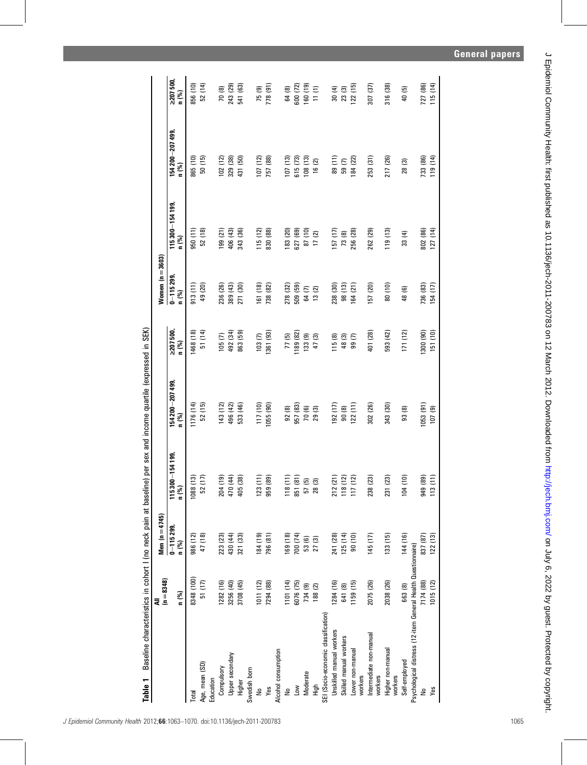| j<br>:<br>l             |
|-------------------------|
| í                       |
|                         |
|                         |
| į                       |
|                         |
|                         |
|                         |
|                         |
|                         |
|                         |
| is<br>Sis<br>$\ddot{ }$ |
|                         |
|                         |
|                         |
|                         |
|                         |
|                         |
|                         |
| j<br>ĭ<br>l             |
| r                       |
| Table                   |

| Table 1                                                       | ₹                     | Baseline characteristics in cohort I (no neck pain at baseline) |                         | per sex and income quartile (expressed in SEK) |                        |                                            |                                  |                                 |                    |
|---------------------------------------------------------------|-----------------------|-----------------------------------------------------------------|-------------------------|------------------------------------------------|------------------------|--------------------------------------------|----------------------------------|---------------------------------|--------------------|
|                                                               | $(n = 8348)$<br>n (%) | Men (n=4745)<br>$0 - 115299,$<br>n (%)                          | 115300-154199,<br>n (%) | 154 200 - 207 499,<br>$\mathbf{n}$ (%)         | $>207500$ ,<br>$n$ (%) | Women $(n=3603)$<br>$0 - 115299,$<br>n (%) | 115300-154199,<br>n (%)          | 154 200-207 499,<br>n (%)       | 2207500<br>$n$ (%) |
|                                                               |                       |                                                                 |                         |                                                |                        |                                            |                                  |                                 |                    |
| Total                                                         | 8348 (100)            | 986 (12)                                                        | 1088 (13                | 1176 (14)                                      | 1468 (18)              | 913(11)                                    | 950 (11)                         | 865 (10)                        | 856 (10)           |
| Age, mean (SD)                                                | 51(17)                | 47 (18)                                                         | 52 (17                  | 52 (15)                                        | 51 (14)                | 49 (20)                                    | 52 (18)                          | 50(15)                          | 52 (14)            |
| Education                                                     |                       |                                                                 |                         |                                                |                        |                                            |                                  |                                 |                    |
| Compulsory                                                    | 1282 (16)             | 223 (23)                                                        | 204 (19)                | 143 (12)                                       | 105(7)                 | 236 (26)                                   | 199(21)                          | 102(12)                         | 70 (8)             |
| Upper secondary                                               | 3256 (40)             | 430 (44)                                                        | 470 (44)                | 496 (42)                                       | 492 (34)               | 389 (43)                                   | 406 (43)                         | 329 (38)                        | 243 (29)           |
| Higher                                                        | 3708 (45)             | 321 (33)                                                        | 405 (38)                | 533 (46)                                       | 863 (59)               | 271 (30)                                   | 343 (36)                         | 431 (50)                        | 541 (63)           |
| Swedish born                                                  |                       |                                                                 |                         |                                                |                        |                                            |                                  |                                 |                    |
| ş                                                             | 011(12)               | 184 (19)                                                        | 123(11)                 | 117 (10)                                       | 103(7)                 | 161 (18)                                   | 115(12)                          | 107(12)                         | 75 (9)             |
| Yes                                                           | 7294 (88)             | 796 (81)                                                        | 959 (89                 | 1055 (90)                                      | 1361 (93)              | 738 (82)                                   | 830 (88)                         | 757 (88)                        | 778 (91)           |
| Alcohol consumption                                           |                       |                                                                 |                         |                                                |                        |                                            |                                  |                                 |                    |
| ş                                                             | (1101)(14)            | 169 (18)                                                        | 118(11)                 | 92 (8)                                         | 77(5)                  | 278 (32)                                   | 183 (20)                         | 107(13)                         | 64 (8)             |
| Low                                                           | 6076 (75)             | 700 (74)                                                        | 851 (81                 | 957 (83)                                       | 189 (82)               | 509 (59)                                   | 627 (69)                         | 615 (73)                        | 600 (72)           |
| Moderate                                                      | 734 (9)               | 53 (6)                                                          | 57(5)                   | 70 (6)                                         | 133 (9)                | 64 (7)                                     | 87 (10)                          | 108 (13)                        | (61) 091           |
| tigh<br>Ei                                                    | 188 (2)               | 27 (3)                                                          | 28 (3)                  | 29 (3)                                         | 47 (3)                 | 13(2)                                      | $\overline{c}$<br>$\overline{1}$ | $\overline{c}$<br>$\frac{1}{2}$ | 11(1)              |
| SEI (Socio-economic classification                            |                       |                                                                 |                         |                                                |                        |                                            |                                  |                                 |                    |
| Unskilled manual workers                                      | 1284(16)              | 241 (28)                                                        | 212 (21                 | 192 (17)                                       | 115(8)                 | 238 (30)                                   | 157 (17)                         | 89 (11)                         | 30 (4)             |
| Skilled manual workers                                        | 641 (8)               | 125(14)                                                         | 118 (12                 | 90 (8)                                         | 48 (3)                 | 98 (13)                                    | 73 (8)                           | 59 (7)                          | 23(3)              |
| Lower non-manual<br>workers                                   | 1159(15)              | 90 (10)                                                         | 117(12)                 | 122(11)                                        | 99(7)                  | 164 (21)                                   | 256 (28)                         | 184 (22)                        | 122(15)            |
| Intermediate non-manual<br>workers                            | 2075 (26)             | 145(17)                                                         | 238 (23)                | 302 (26)                                       | 401 (28)               | 157 (20)                                   | 262 (29)                         | 253 (31)                        | 307 (37)           |
| Higher non-manual<br>workers                                  | 2038 (26)             | 133(15)                                                         | 231 (23                 | 343 (30)                                       | 593 (42)               | 80 (10)                                    | 119 (13)                         | 217 (26)                        | 316 (38)           |
| Self-employed                                                 | 663 (8)               | 144 (16)                                                        | 104 (10                 | 93 (8)                                         | 171(12)                | 48 (6)                                     | 33 (4)                           | 28 (3)                          | 40 (5)             |
| Psychological distress (12-item General Health Questionnaire) |                       |                                                                 |                         |                                                |                        |                                            |                                  |                                 |                    |
| ⋛                                                             | 7174 (88)             | 837 (87)                                                        | 88) 676                 | 1053(91)                                       | (06) 0081              | 736 (83)                                   | 802 (86)                         | 733 (86)                        | 727 (86)           |
| Yes                                                           | 1015(12)              | 122(13)                                                         | 113(11)                 | 107 (9)                                        | 151(10)                | 154 (17)                                   | 127(14)                          | 119 (14)                        | 115(14)            |
|                                                               |                       |                                                                 |                         |                                                |                        |                                            |                                  |                                 |                    |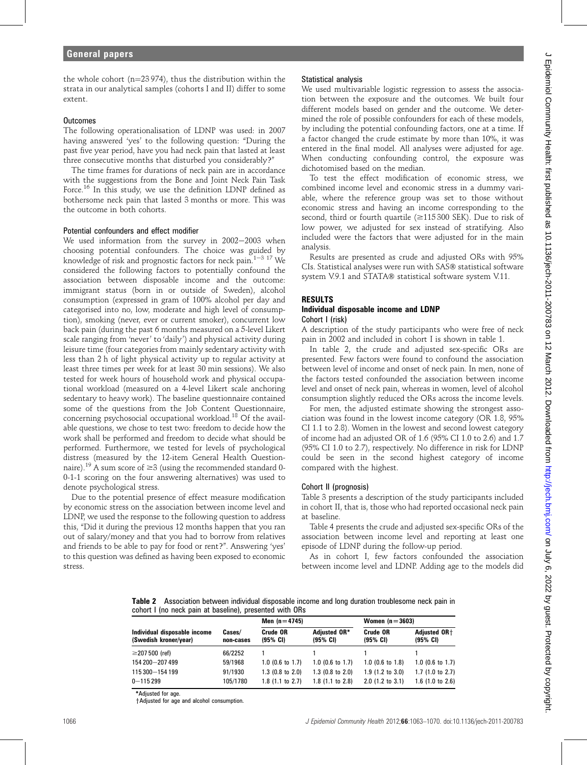the whole cohort ( $n=23974$ ), thus the distribution within the strata in our analytical samples (cohorts I and II) differ to some extent.

# **Outcomes**

The following operationalisation of LDNP was used: in 2007 having answered 'yes' to the following question: "During the past five year period, have you had neck pain that lasted at least three consecutive months that disturbed you considerably?"

The time frames for durations of neck pain are in accordance with the suggestions from the Bone and Joint Neck Pain Task Force.<sup>16</sup> In this study, we use the definition LDNP defined as bothersome neck pain that lasted 3 months or more. This was the outcome in both cohorts.

## Potential confounders and effect modifier

We used information from the survey in  $2002-2003$  when choosing potential confounders. The choice was guided by knowledge of risk and prognostic factors for neck pain.<sup>1-3 17</sup> We considered the following factors to potentially confound the association between disposable income and the outcome: immigrant status (born in or outside of Sweden), alcohol consumption (expressed in gram of 100% alcohol per day and categorised into no, low, moderate and high level of consumption), smoking (never, ever or current smoker), concurrent low back pain (during the past 6 months measured on a 5-level Likert scale ranging from 'never' to 'daily') and physical activity during leisure time (four categories from mainly sedentary activity with less than 2 h of light physical activity up to regular activity at least three times per week for at least 30 min sessions). We also tested for week hours of household work and physical occupational workload (measured on a 4-level Likert scale anchoring sedentary to heavy work). The baseline questionnaire contained some of the questions from the Job Content Questionnaire, concerning psychosocial occupational workload.<sup>18</sup> Of the available questions, we chose to test two: freedom to decide how the work shall be performed and freedom to decide what should be performed. Furthermore, we tested for levels of psychological distress (measured by the 12-item General Health Questionnaire).<sup>19</sup> A sum score of  $\geq$  3 (using the recommended standard 0-0-1-1 scoring on the four answering alternatives) was used to denote psychological stress.

Due to the potential presence of effect measure modification by economic stress on the association between income level and LDNP, we used the response to the following question to address this, "Did it during the previous 12 months happen that you ran out of salary/money and that you had to borrow from relatives and friends to be able to pay for food or rent?". Answering 'yes' to this question was defined as having been exposed to economic stress.

# Statistical analysis

We used multivariable logistic regression to assess the association between the exposure and the outcomes. We built four different models based on gender and the outcome. We determined the role of possible confounders for each of these models, by including the potential confounding factors, one at a time. If a factor changed the crude estimate by more than 10%, it was entered in the final model. All analyses were adjusted for age. When conducting confounding control, the exposure was dichotomised based on the median.

To test the effect modification of economic stress, we combined income level and economic stress in a dummy variable, where the reference group was set to those without economic stress and having an income corresponding to the second, third or fourth quartile  $(\geq 115\,300 \text{ SEK})$ . Due to risk of low power, we adjusted for sex instead of stratifying. Also included were the factors that were adjusted for in the main analysis.

Results are presented as crude and adjusted ORs with 95% CIs. Statistical analyses were run with SAS® statistical software system V.9.1 and STATA® statistical software system V.11.

# RESULTS

#### Individual disposable income and LDNP Cohort I (risk)

A description of the study participants who were free of neck pain in 2002 and included in cohort I is shown in table 1.

In table 2, the crude and adjusted sex-specific ORs are presented. Few factors were found to confound the association between level of income and onset of neck pain. In men, none of the factors tested confounded the association between income level and onset of neck pain, whereas in women, level of alcohol consumption slightly reduced the ORs across the income levels.

For men, the adjusted estimate showing the strongest association was found in the lowest income category (OR 1.8, 95% CI 1.1 to 2.8). Women in the lowest and second lowest category of income had an adjusted OR of 1.6 (95% CI 1.0 to 2.6) and 1.7 (95% CI 1.0 to 2.7), respectively. No difference in risk for LDNP could be seen in the second highest category of income compared with the highest.

# Cohort II (prognosis)

Table 3 presents a description of the study participants included in cohort II, that is, those who had reported occasional neck pain at baseline.

Table 4 presents the crude and adjusted sex-specific ORs of the association between income level and reporting at least one episode of LDNP during the follow-up period.

As in cohort I, few factors confounded the association between income level and LDNP. Adding age to the models did

Table 2 Association between individual disposable income and long duration troublesome neck pain in cohort I (no neck pain at baseline), presented with ORs

|                                                       |                     | Men $(n=4745)$                           |                                          | Women $(n=3603)$                                 |                                          |
|-------------------------------------------------------|---------------------|------------------------------------------|------------------------------------------|--------------------------------------------------|------------------------------------------|
| Individual disposable income<br>(Swedish kroner/year) | Cases/<br>non-cases | <b>Crude OR</b><br>$(95% \; \text{Cl})$  | Adjusted OR*<br>$(95% \text{ CI})$       | <b>Crude OR</b><br>$(95% \text{ CI})$            | <b>Adjusted OR+</b><br>(95% CI)          |
| $\geq$ 207 500 (ref)                                  | 66/2252             |                                          |                                          |                                                  |                                          |
| 154 200 - 207 499                                     | 59/1968             | $1.0$ (0.6 to 1.7)                       | $1.0$ (0.6 to 1.7)                       | $1.0$ (0.6 to $1.8$ )                            | $1.0$ (0.6 to 1.7)                       |
| 115 300 - 154 199<br>$0 - 115299$                     | 91/1930<br>105/1780 | $1.3$ (0.8 to 2.0)<br>$1.8$ (1.1 to 2.7) | $1.3$ (0.8 to 2.0)<br>$1.8$ (1.1 to 2.8) | $1.9(1.2 \text{ to } 3.0)$<br>$2.0$ (1.2 to 3.1) | 1.7 $(1.0 to 2.7)$<br>1.6 $(1.0 to 2.6)$ |

\*Adjusted for age.

+Adjusted for age and alcohol consumption.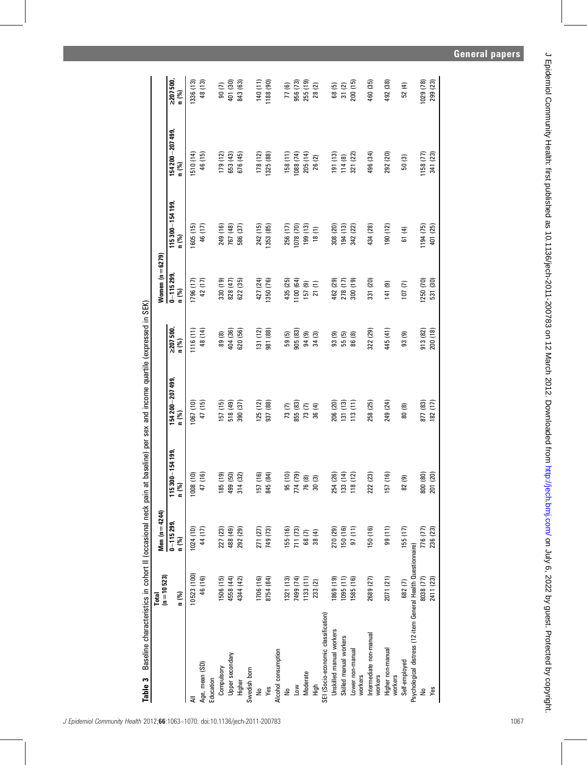| ï             |  |
|---------------|--|
| ֕             |  |
|               |  |
|               |  |
|               |  |
|               |  |
|               |  |
|               |  |
| j             |  |
|               |  |
|               |  |
|               |  |
|               |  |
|               |  |
|               |  |
|               |  |
|               |  |
|               |  |
|               |  |
|               |  |
|               |  |
|               |  |
|               |  |
|               |  |
|               |  |
|               |  |
|               |  |
| í             |  |
|               |  |
| i             |  |
|               |  |
|               |  |
|               |  |
|               |  |
|               |  |
|               |  |
|               |  |
|               |  |
|               |  |
|               |  |
|               |  |
| l             |  |
|               |  |
| $\frac{1}{2}$ |  |
| 虛<br>I        |  |

|                                                               | $(n = 10523)$<br>Total          | Men (n=4244)           |                                  |                           |                      | Women (n = 6279)        |                         |                             |                      |
|---------------------------------------------------------------|---------------------------------|------------------------|----------------------------------|---------------------------|----------------------|-------------------------|-------------------------|-----------------------------|----------------------|
|                                                               | n (%)                           | $0 - 115299,$<br>n (%) | 115 300 - 154 199,<br>n (%)      | 154 200-207 499,<br>n (%) | $>207500$ ,<br>n (%) | $0 - 115299$<br>$n$ (%) | 115300-154199,<br>n (%) | 154 200 - 207 499,<br>n (%) | $>207500$ ,<br>n (%) |
|                                                               | 10523 (100)                     | 1024(10)               |                                  | (10) 1901                 | 1116(11)             | 1796 (17)               | 1605 (15)               | 1510 (14)                   | 1336 (13)            |
| Age, mean (SD)                                                | 46 (16)                         | 44 (17)                | $1008(10)$<br>$47(16)$           | 47 (15)                   | 48 (14)              | 42 (17)                 | 46 (17)                 | 46 (15)                     | 48 (13)              |
| Education                                                     |                                 |                        |                                  |                           |                      |                         |                         |                             |                      |
| Compulsory                                                    | 1506 (15)                       | 227 (23)               |                                  | 157(15)                   | 89 (8)               | 330 (19)                | 249 (16)                | 179 (12)                    | 90(7)                |
| Upper secondary                                               | 4558 (44)                       | (6b) 884               |                                  | 518 (49)                  | 404 (36)             | 828 (47)                | 767 (48)                | 653 (43)                    | 401 (30)             |
| Higher                                                        | 4344 (42)                       | 292 (29)               | 185 (19)<br>499 (50)<br>314 (32) | 390 (37)                  | 620 (56)             | 622 (35)                | $\overline{137}$<br>586 | 676 (45)                    | 843 (63)             |
| Swedish born                                                  |                                 |                        |                                  |                           |                      |                         |                         |                             |                      |
| å                                                             | 1706 (16)                       | 271 (27)               |                                  | 125(12)                   | 131(12)              | 427 (24)                | 242 (15)                | 178 (12)                    | 140 (11)             |
| Yes                                                           | 8754 (84)                       | 749 (73)               | 157 (16)<br>845 (84)             | 937 (88)                  | 981 (88)             | 1350 (76)               | 1353 (85)               | 1325 (88)                   | (188 (90)            |
| Alcohol consumption                                           |                                 |                        |                                  |                           |                      |                         |                         |                             |                      |
| ş                                                             | 1321 (13)                       | 155 (16)               | 95 (10)                          | 73(7)                     | 59 (5)               | 435 (25)                | 256 (17)                | 158(11)                     | 77 (6)               |
| <b>No7</b>                                                    | 7499 (74)                       | 711 (73)               | 774 (79)                         | 855 (83)                  | 905 (83)             | 100(64)                 | (07) 8/01               | 1088 (74)                   | 956 (73)             |
| Moderate                                                      | 1133(11)                        | 68 (7)                 | 76 (8)                           | 73(7)                     | 94 (9)               | 157 (9)                 | 199 (13)                | 205 (14)                    | 255 (19)             |
| tight<br>Ei                                                   | $\widehat{\mathfrak{Q}}$<br>233 | 38 (4)                 | 30(3)                            | 36 (4)                    | 34 (3)               | 21(1)                   | 18(1)                   | 26 (2)                      | 28 (2)               |
| SEI (Socio-economic classification)                           |                                 |                        |                                  |                           |                      |                         |                         |                             |                      |
| Unskilled manual workers                                      | (61) 6981                       | 270 (29)               |                                  | 206 (20)                  | 93 (9)               | 462 (29)                | 308 (20)                | 191(13)                     | 68(5)                |
| Skilled manual workers                                        | $(11)$ 5601                     | 150 (16)               | 254 (26)<br>133 (14)<br>118 (12) | 131(13)                   | 55 (5)               | 278 (17)                | 194 (13)                | 114 (8)                     | 31(2)                |
| Lower non-manual<br>workers                                   | 1585 (16)                       | 97(11)                 |                                  | 113(11)                   | 86 (8)               | 300 (19)                | 342 (22)                | 321 (22)                    | 200(15)              |
| Intermediate non-manual<br>workers                            | 2689 (27)                       | 150 (16)               | 222 (23)                         | 258 (25)                  | 322 (29)             | 331 (20)                | 434 (28)                | 496 (34)                    | 460 (35)             |
| Higher non-manual<br>workers                                  | 2071 (21)                       | 99 (11)                | 157 (16)                         | 249 (24)                  | 445 (41)             | 141 (9)                 | 190 (12)                | 292 (20)                    | 492 (38)             |
| Self-employed                                                 | 682 (7)                         | 155(17)                | 82 (9)                           | 80 (8)                    | 93 (9)               | 107(7)                  | 61 (4)                  | 50(3)                       | 52 (4)               |
| Psychological distress (12-item General Health Questionnaire) |                                 |                        |                                  |                           |                      |                         |                         |                             |                      |
| ş                                                             | 8038 (77)                       | 776 (77)               | 800 (80)                         | 877 (83)                  | 913 (82)             | 1250 (70)               | 1194 (75)               | 1158 (77)                   | 1029 (78)            |
| Yes                                                           | 2411 (23)                       | 236 (23)               | 201 (20)                         | 182 (17)                  | 200 (18)             | 531 (30)                | 401 (25)                | 341 (23)                    | 299 (23)             |
|                                                               |                                 |                        |                                  |                           |                      |                         |                         |                             |                      |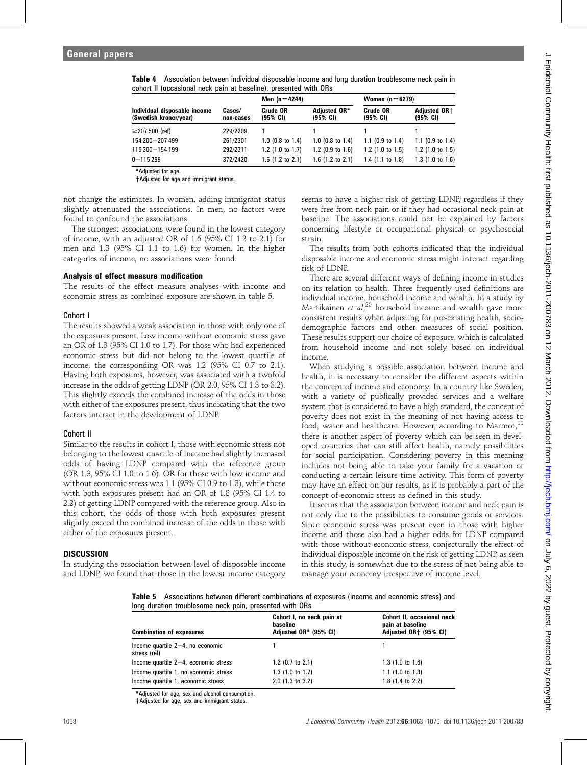| Table 4 Association between individual disposable income and long duration troublesome neck pain in |  |  |  |  |
|-----------------------------------------------------------------------------------------------------|--|--|--|--|
| cohort II (occasional neck pain at baseline), presented with ORs                                    |  |  |  |  |
|                                                                                                     |  |  |  |  |

|                                                       |                     | Men $(n=4244)$                        |                                      | Women $(n=6279)$                |                                 |
|-------------------------------------------------------|---------------------|---------------------------------------|--------------------------------------|---------------------------------|---------------------------------|
| Individual disposable income<br>(Swedish kroner/year) | Cases/<br>non-cases | <b>Crude OR</b><br>$(95% \text{ CI})$ | Adjusted OR*<br>$(95% \; \text{CI})$ | Crude OR<br>$(95\% \text{ Cl})$ | <b>Adjusted OR+</b><br>(95% CI) |
| $\geq$ 207 500 (ref)                                  | 229/2209            |                                       |                                      |                                 |                                 |
| 154 200 - 207 499                                     | 261/2301            | $1.0$ (0.8 to 1.4)                    | $1.0$ (0.8 to 1.4)                   | 1.1 $(0.9 \text{ to } 1.4)$     | 1.1 $(0.9 \text{ to } 1.4)$     |
| 115 300 - 154 199                                     | 292/2311            | 1.2 $(1.0 \text{ to } 1.7)$           | $1.2$ (0.9 to $1.6$ )                | 1.2 $(1.0 \text{ to } 1.5)$     | 1.2 $(1.0 \text{ to } 1.5)$     |
| $0 - 115299$                                          | 372/2420            | 1.6 $(1.2$ to $2.1)$                  | 1.6 $(1.2$ to $2.1)$                 | $1.4$ (1.1 to 1.8)              | $1.3(1.0 \text{ to } 1.6)$      |

\*Adjusted for age.

+Adjusted for age and immigrant status.

not change the estimates. In women, adding immigrant status slightly attenuated the associations. In men, no factors were found to confound the associations.

The strongest associations were found in the lowest category of income, with an adjusted OR of 1.6 (95% CI 1.2 to 2.1) for men and 1.3 (95% CI 1.1 to 1.6) for women. In the higher categories of income, no associations were found.

## Analysis of effect measure modification

The results of the effect measure analyses with income and economic stress as combined exposure are shown in table 5.

# Cohort I

The results showed a weak association in those with only one of the exposures present. Low income without economic stress gave an OR of 1.3 (95% CI 1.0 to 1.7). For those who had experienced economic stress but did not belong to the lowest quartile of income, the corresponding OR was 1.2 (95% CI 0.7 to 2.1). Having both exposures, however, was associated with a twofold increase in the odds of getting LDNP (OR 2.0, 95% CI 1.3 to 3.2). This slightly exceeds the combined increase of the odds in those with either of the exposures present, thus indicating that the two factors interact in the development of LDNP.

## Cohort II

Similar to the results in cohort I, those with economic stress not belonging to the lowest quartile of income had slightly increased odds of having LDNP compared with the reference group (OR 1.3, 95% CI 1.0 to 1.6). OR for those with low income and without economic stress was 1.1 (95% CI 0.9 to 1.3), while those with both exposures present had an OR of 1.8 (95% CI 1.4 to 2.2) of getting LDNP compared with the reference group. Also in this cohort, the odds of those with both exposures present slightly exceed the combined increase of the odds in those with either of the exposures present.

# **DISCUSSION**

In studying the association between level of disposable income and LDNP, we found that those in the lowest income category seems to have a higher risk of getting LDNP, regardless if they were free from neck pain or if they had occasional neck pain at baseline. The associations could not be explained by factors concerning lifestyle or occupational physical or psychosocial strain.

The results from both cohorts indicated that the individual disposable income and economic stress might interact regarding risk of LDNP.

There are several different ways of defining income in studies on its relation to health. Three frequently used definitions are individual income, household income and wealth. In a study by Martikainen et al,<sup>20</sup> household income and wealth gave more consistent results when adjusting for pre-existing health, sociodemographic factors and other measures of social position. These results support our choice of exposure, which is calculated from household income and not solely based on individual income.

When studying a possible association between income and health, it is necessary to consider the different aspects within the concept of income and economy. In a country like Sweden, with a variety of publically provided services and a welfare system that is considered to have a high standard, the concept of poverty does not exist in the meaning of not having access to food, water and healthcare. However, according to Marmot, $^{11}$ there is another aspect of poverty which can be seen in developed countries that can still affect health, namely possibilities for social participation. Considering poverty in this meaning includes not being able to take your family for a vacation or conducting a certain leisure time activity. This form of poverty may have an effect on our results, as it is probably a part of the concept of economic stress as defined in this study.

It seems that the association between income and neck pain is not only due to the possibilities to consume goods or services. Since economic stress was present even in those with higher income and those also had a higher odds for LDNP compared with those without economic stress, conjecturally the effect of individual disposable income on the risk of getting LDNP, as seen in this study, is somewhat due to the stress of not being able to manage your economy irrespective of income level.

Table 5 Associations between different combinations of exposures (income and economic stress) and long duration troublesome neck pain, presented with ORs

| <b>Combination of exposures</b>                     | Cohort I, no neck pain at<br>baseline<br>Adjusted OR* (95% CI) | <b>Cohort II, occasional neck</b><br>pain at baseline<br>Adjusted $OR$ $\uparrow$ (95% CI) |
|-----------------------------------------------------|----------------------------------------------------------------|--------------------------------------------------------------------------------------------|
| Income quartile $2-4$ , no economic<br>stress (ref) |                                                                |                                                                                            |
| Income quartile $2-4$ , economic stress             | 1.2 $(0.7 \text{ to } 2.1)$                                    | 1.3 $(1.0 \text{ to } 1.6)$                                                                |
| Income quartile 1, no economic stress               | 1.3 $(1.0 \text{ to } 1.7)$                                    | 1.1 $(1.0 \text{ to } 1.3)$                                                                |
| Income quartile 1, economic stress                  | $2.0$ (1.3 to 3.2)                                             | 1.8 $(1.4$ to 2.2)                                                                         |

\*Adjusted for age, sex and alcohol consumption.

+Adjusted for age, sex and immigrant status.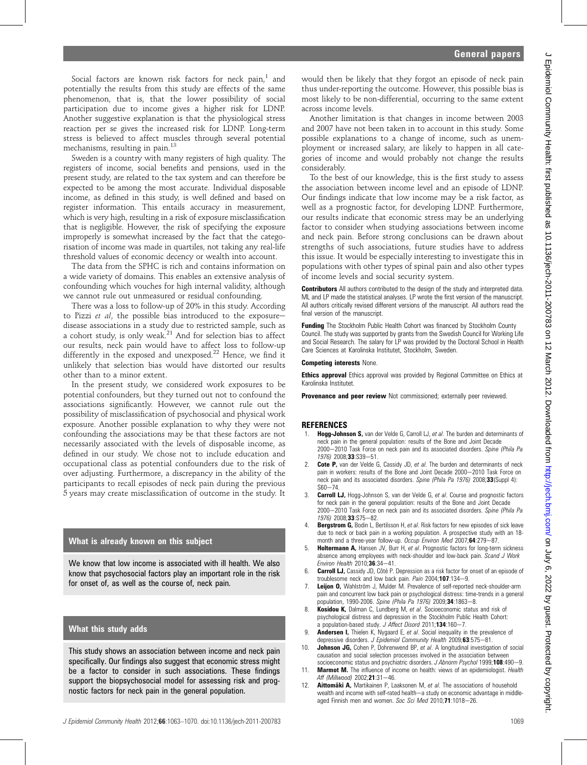Social factors are known risk factors for neck pain, $<sup>1</sup>$  and</sup> potentially the results from this study are effects of the same phenomenon, that is, that the lower possibility of social participation due to income gives a higher risk for LDNP. Another suggestive explanation is that the physiological stress reaction per se gives the increased risk for LDNP. Long-term stress is believed to affect muscles through several potential mechanisms, resulting in pain.<sup>13</sup>

Sweden is a country with many registers of high quality. The registers of income, social benefits and pensions, used in the present study, are related to the tax system and can therefore be expected to be among the most accurate. Individual disposable income, as defined in this study, is well defined and based on register information. This entails accuracy in measurement, which is very high, resulting in a risk of exposure misclassification that is negligible. However, the risk of specifying the exposure improperly is somewhat increased by the fact that the categorisation of income was made in quartiles, not taking any real-life threshold values of economic decency or wealth into account.

The data from the SPHC is rich and contains information on a wide variety of domains. This enables an extensive analysis of confounding which vouches for high internal validity, although we cannot rule out unmeasured or residual confounding.

There was a loss to follow-up of 20% in this study. According to Pizzi et al, the possible bias introduced to the exposuredisease associations in a study due to restricted sample, such as a cohort study, is only weak.<sup>21</sup> And for selection bias to affect our results, neck pain would have to affect loss to follow-up differently in the exposed and unexposed.<sup>22</sup> Hence, we find it unlikely that selection bias would have distorted our results other than to a minor extent.

In the present study, we considered work exposures to be potential confounders, but they turned out not to confound the associations significantly. However, we cannot rule out the possibility of misclassification of psychosocial and physical work exposure. Another possible explanation to why they were not confounding the associations may be that these factors are not necessarily associated with the levels of disposable income, as defined in our study. We chose not to include education and occupational class as potential confounders due to the risk of over adjusting. Furthermore, a discrepancy in the ability of the participants to recall episodes of neck pain during the previous 5 years may create misclassification of outcome in the study. It

# What is already known on this subject

We know that low income is associated with ill health. We also know that psychosocial factors play an important role in the risk for onset of, as well as the course of, neck pain.

# What this study adds

This study shows an association between income and neck pain specifically. Our findings also suggest that economic stress might be a factor to consider in such associations. These findings support the biopsychosocial model for assessing risk and prognostic factors for neck pain in the general population.

would then be likely that they forgot an episode of neck pain thus under-reporting the outcome. However, this possible bias is most likely to be non-differential, occurring to the same extent across income levels.

Another limitation is that changes in income between 2003 and 2007 have not been taken in to account in this study. Some possible explanations to a change of income, such as unemployment or increased salary, are likely to happen in all categories of income and would probably not change the results considerably.

To the best of our knowledge, this is the first study to assess the association between income level and an episode of LDNP. Our findings indicate that low income may be a risk factor, as well as a prognostic factor, for developing LDNP. Furthermore, our results indicate that economic stress may be an underlying factor to consider when studying associations between income and neck pain. Before strong conclusions can be drawn about strengths of such associations, future studies have to address this issue. It would be especially interesting to investigate this in populations with other types of spinal pain and also other types of income levels and social security system.

**Contributors** All authors contributed to the design of the study and interpreted data. ML and LP made the statistical analyses. LP wrote the first version of the manuscript. All authors critically revised different versions of the manuscript. All authors read the final version of the manuscript.

Funding The Stockholm Public Health Cohort was financed by Stockholm County Council. The study was supported by grants from the Swedish Council for Working Life and Social Research. The salary for LP was provided by the Doctoral School in Health Care Sciences at Karolinska Institutet, Stockholm, Sweden.

#### Competing interests None.

**Ethics approval** Ethics approval was provided by Regional Committee on Ethics at Karolinska Institutet.

Provenance and peer review Not commissioned; externally peer reviewed.

## REFERENCES

- Hogg-Johnson S, van der Velde G, Carroll LJ, et al. The burden and determinants of neck pain in the general population: results of the Bone and Joint Decade 2000-2010 Task Force on neck pain and its associated disorders. Spine (Phila Pa 1976) 2008:33:S39-51.
- 2. Cote P, van der Velde G, Cassidy JD, et al. The burden and determinants of neck pain in workers: results of the Bone and Joint Decade 2000-2010 Task Force on neck pain and its associated disorders. Spine (Phila Pa 1976) 2008;33(Suppl 4):  $S60 - 74.$
- 3. **Carroll LJ,** Hogg-Johnson S, van der Velde G, et al. Course and prognostic factors for neck pain in the general population: results of the Bone and Joint Decade 2000-2010 Task Force on neck pain and its associated disorders. Spine (Phila Pa 1976) 2008:33:S75-82.
- 4. **Bergstrom G,** Bodin L, Bertilsson H, et al. Risk factors for new episodes of sick leave due to neck or back pain in a working population. A prospective study with an 18 month and a three-year follow-up. Occup Environ Med 2007;64:279-87.
- 5. Holtermann A, Hansen JV, Burr H, et al. Prognostic factors for long-term sickness absence among employees with neck-shoulder and low-back pain. Scand J Work Environ Health  $2010; 36:34-41$ .
- 6. **Carroll LJ,** Cassidy JD, Côté P. Depression as a risk factor for onset of an episode of troublesome neck and low back pain. Pain  $2004; 107:134-9$ .
- 7. Leijon 0, Wahlström J, Mulder M. Prevalence of self-reported neck-shoulder-arm pain and concurrent low back pain or psychological distress: time-trends in a general population, 1990-2006. Spine (Phila Pa 1976) 2009;34:1863-8.
- 8. Kosidou K, Dalman C, Lundberg M, et al. Socioeconomic status and risk of psychological distress and depression in the Stockholm Public Health Cohort: a population-based study. J Affect Disord 2011;134:160-7.
- 9. **Andersen I,** Thielen K, Nygaard E, et al. Social inequality in the prevalence of depressive disorders. J Epidemiol Community Health 2009;63:575-81.
- 10. **Johnson JG,** Cohen P, Dohrenwend BP, et al. A longitudinal investigation of social causation and social selection processes involved in the association between socioeconomic status and psychiatric disorders. J Abnorm Psychol 1999;108:490-9.
- 11. **Marmot M.** The influence of income on health: views of an epidemiologist. Health Aff (Millwood) 2002;21:31-46.
- 12. **Aittomäki A,** Martikainen P, Laaksonen M, et al. The associations of household wealth and income with self-rated health-a study on economic advantage in middleaged Finnish men and women. Soc Sci Med 2010;71:1018-26.